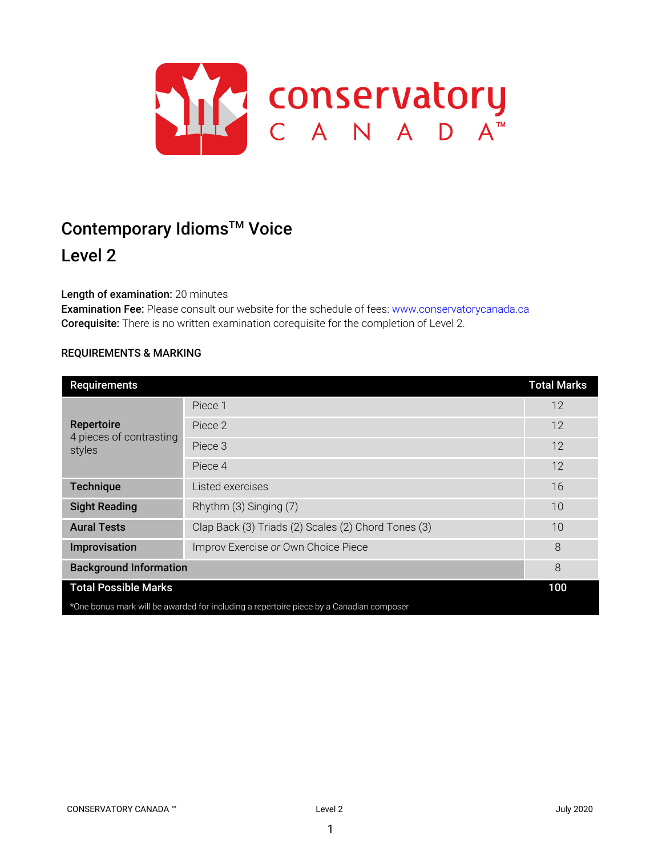

# Contemporary Idioms<sup>™</sup> Voice

# Level 2

# Length of examination: 20 minutes

Examination Fee: Please consult our website for the schedule of fees: www.conservatorycanada.ca Corequisite: There is no written examination corequisite for the completion of Level 2.

# REQUIREMENTS & MARKING

| Requirements                                                                            |                                                     | <b>Total Marks</b> |
|-----------------------------------------------------------------------------------------|-----------------------------------------------------|--------------------|
| Repertoire<br>4 pieces of contrasting<br>styles                                         | Piece 1                                             | 12                 |
|                                                                                         | Piece 2                                             | 12                 |
|                                                                                         | Piece 3                                             | 12                 |
|                                                                                         | Piece 4                                             | 12                 |
| <b>Technique</b>                                                                        | Listed exercises                                    | 16                 |
| <b>Sight Reading</b>                                                                    | Rhythm (3) Singing (7)                              | 10                 |
| <b>Aural Tests</b>                                                                      | Clap Back (3) Triads (2) Scales (2) Chord Tones (3) | 10                 |
| Improvisation                                                                           | Improv Exercise or Own Choice Piece                 | 8                  |
| <b>Background Information</b>                                                           |                                                     | 8                  |
| <b>Total Possible Marks</b>                                                             |                                                     | 100                |
| *One bonus mark will be awarded for including a repertoire piece by a Canadian composer |                                                     |                    |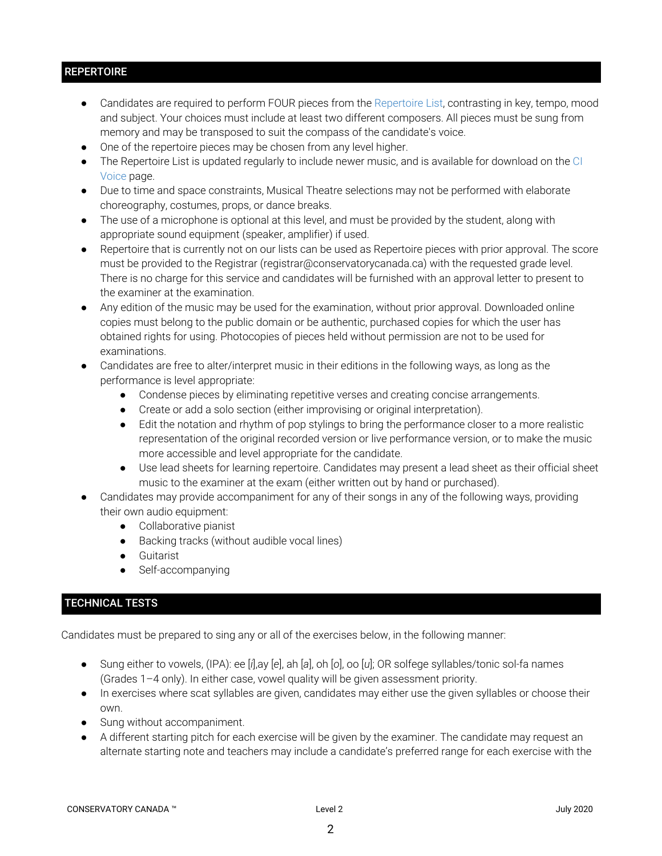# **REPERTOIRE**

- Candidates are required to perform FOUR pieces from the Repertoire List, contrasting in key, tempo, mood and subject. Your choices must include at least two different composers. All pieces must be sung from memory and may be transposed to suit the compass of the candidate's voice.
- One of the repertoire pieces may be chosen from any level higher.
- The Repertoire List is updated regularly to include newer music, and is available for download on the CI Voice page.
- Due to time and space constraints, Musical Theatre selections may not be performed with elaborate choreography, costumes, props, or dance breaks.
- The use of a microphone is optional at this level, and must be provided by the student, along with appropriate sound equipment (speaker, amplifier) if used.
- Repertoire that is currently not on our lists can be used as Repertoire pieces with prior approval. The score must be provided to the Registrar (registrar@conservatorycanada.ca) with the requested grade level. There is no charge for this service and candidates will be furnished with an approval letter to present to the examiner at the examination.
- Any edition of the music may be used for the examination, without prior approval. Downloaded online copies must belong to the public domain or be authentic, purchased copies for which the user has obtained rights for using. Photocopies of pieces held without permission are not to be used for examinations.
- Candidates are free to alter/interpret music in their editions in the following ways, as long as the performance is level appropriate:
	- Condense pieces by eliminating repetitive verses and creating concise arrangements.
	- Create or add a solo section (either improvising or original interpretation).
	- Edit the notation and rhythm of pop stylings to bring the performance closer to a more realistic representation of the original recorded version or live performance version, or to make the music more accessible and level appropriate for the candidate.
	- Use lead sheets for learning repertoire. Candidates may present a lead sheet as their official sheet music to the examiner at the exam (either written out by hand or purchased).
- Candidates may provide accompaniment for any of their songs in any of the following ways, providing their own audio equipment:
	- Collaborative pianist
	- Backing tracks (without audible vocal lines)
	- Guitarist
	- Self-accompanying

# TECHNICAL TESTS

Candidates must be prepared to sing any or all of the exercises below, in the following manner:

- Sung either to vowels, (IPA): ee [*i*],ay [*e*], ah [*a*], oh [*o*], oo [*u*]; OR solfege syllables/tonic sol-fa names (Grades 1–4 only). In either case, vowel quality will be given assessment priority.
- In exercises where scat syllables are given, candidates may either use the given syllables or choose their own.
- Sung without accompaniment.
- A different starting pitch for each exercise will be given by the examiner. The candidate may request an alternate starting note and teachers may include a candidate's preferred range for each exercise with the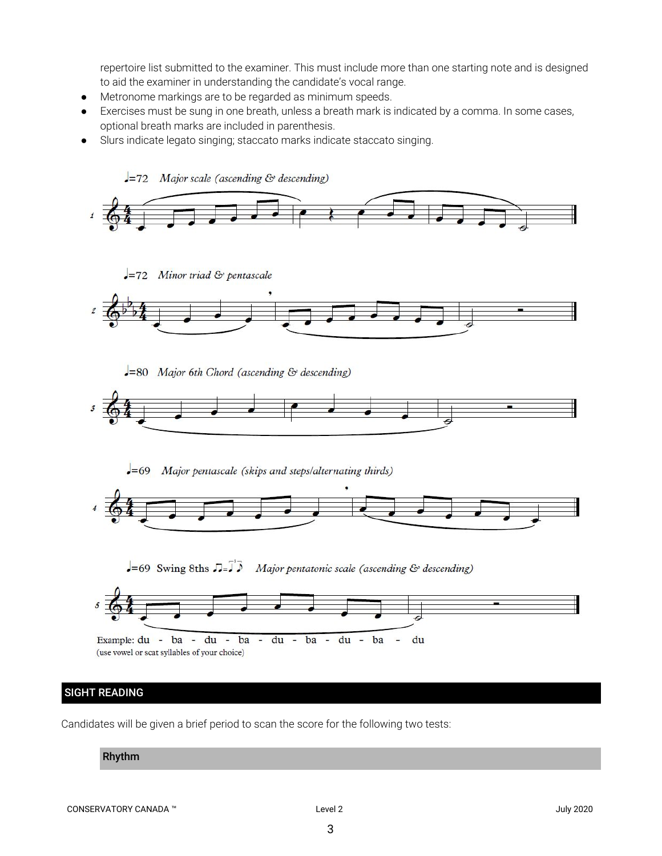repertoire list submitted to the examiner. This must include more than one starting note and is designed to aid the examiner in understanding the candidate's vocal range.

- Metronome markings are to be regarded as minimum speeds.
- Exercises must be sung in one breath, unless a breath mark is indicated by a comma. In some cases, optional breath marks are included in parenthesis.
- Slurs indicate legato singing; staccato marks indicate staccato singing.



# SIGHT READING

Candidates will be given a brief period to scan the score for the following two tests:

#### Rhythm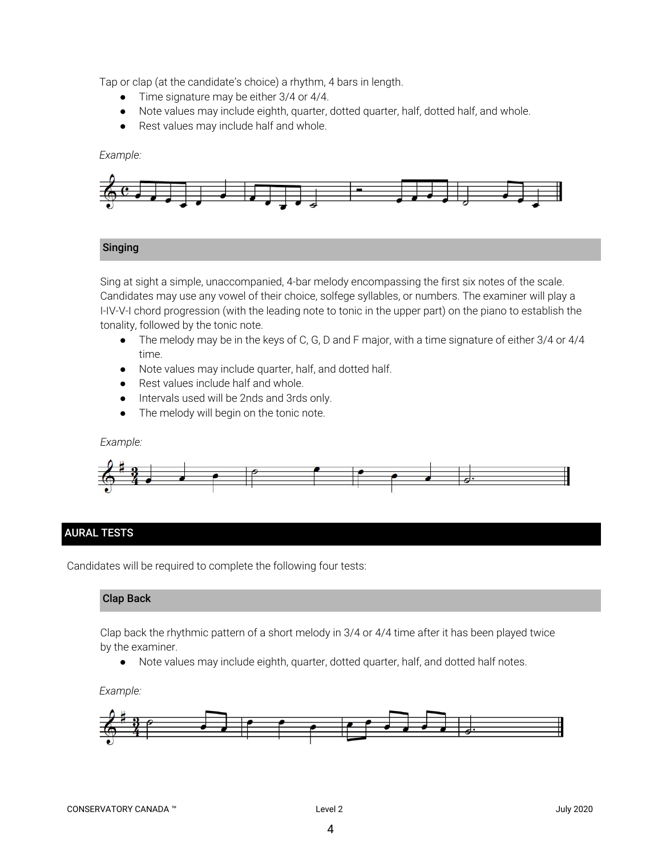Tap or clap (at the candidate's choice) a rhythm, 4 bars in length.

- Time signature may be either 3/4 or 4/4.
- Note values may include eighth, quarter, dotted quarter, half, dotted half, and whole.
- Rest values may include half and whole.

#### *Example:*



#### Singing

Sing at sight a simple, unaccompanied, 4-bar melody encompassing the first six notes of the scale. Candidates may use any vowel of their choice, solfege syllables, or numbers. The examiner will play a I-IV-V-I chord progression (with the leading note to tonic in the upper part) on the piano to establish the tonality, followed by the tonic note.

- *●* The melody may be in the keys of C, G, D and F major, with a time signature of either 3/4 or 4/4 time.
- Note values may include quarter, half, and dotted half.
- Rest values include half and whole.
- Intervals used will be 2nds and 3rds only.
- The melody will begin on the tonic note.

#### *Example:*



### AURAL TESTS

Candidates will be required to complete the following four tests:

#### Clap Back

Clap back the rhythmic pattern of a short melody in 3/4 or 4/4 time after it has been played twice by the examiner.

● Note values may include eighth, quarter, dotted quarter, half, and dotted half notes.

#### *Example:*

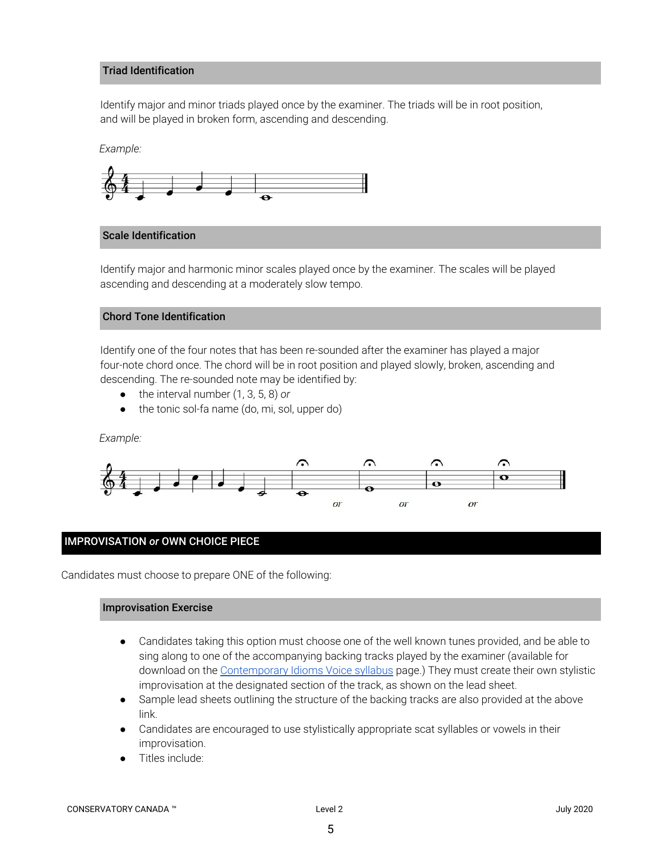#### Triad Identification

Identify major and minor triads played once by the examiner. The triads will be in root position, and will be played in broken form, ascending and descending.

*Example:*



#### Scale Identification

Identify major and harmonic minor scales played once by the examiner. The scales will be played ascending and descending at a moderately slow tempo.

#### Chord Tone Identification

Identify one of the four notes that has been re-sounded after the examiner has played a major four-note chord once. The chord will be in root position and played slowly, broken, ascending and descending. The re-sounded note may be identified by:

- the interval number (1, 3, 5, 8) *or*
- the tonic sol-fa name (do, mi, sol, upper do)

#### *Example:*



#### IMPROVISATION *or* OWN CHOICE PIECE

Candidates must choose to prepare ONE of the following:

#### Improvisation Exercise

- Candidates taking this option must choose one of the well known tunes provided, and be able to sing along to one of the accompanying backing tracks played by the examiner (available for download on the [Contemporary](https://conservatorycanada.ca/syllabi/contemporary-voice/) Idioms Voice syllabus page.) They must create their own stylistic improvisation at the designated section of the track, as shown on the lead sheet.
- Sample lead sheets outlining the structure of the backing tracks are also provided at the above link.
- Candidates are encouraged to use stylistically appropriate scat syllables or vowels in their improvisation.
- Titles include: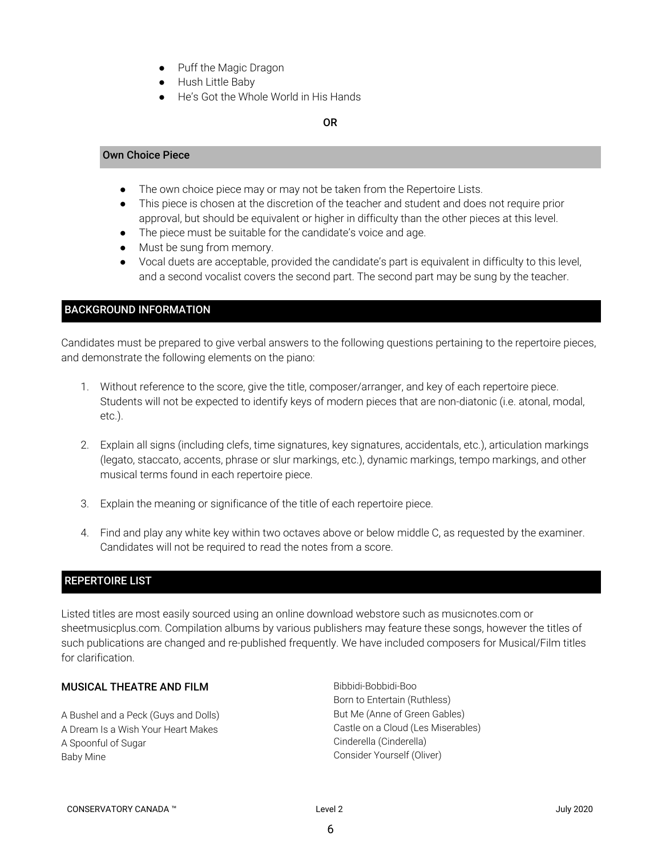- Puff the Magic Dragon
- Hush Little Baby
- He's Got the Whole World in His Hands

#### OR

#### Own Choice Piece

- The own choice piece may or may not be taken from the Repertoire Lists.
- This piece is chosen at the discretion of the teacher and student and does not require prior approval, but should be equivalent or higher in difficulty than the other pieces at this level.
- The piece must be suitable for the candidate's voice and age.
- Must be sung from memory.
- Vocal duets are acceptable, provided the candidate's part is equivalent in difficulty to this level, and a second vocalist covers the second part. The second part may be sung by the teacher.

## BACKGROUND INFORMATION

Candidates must be prepared to give verbal answers to the following questions pertaining to the repertoire pieces, and demonstrate the following elements on the piano:

- 1. Without reference to the score, give the title, composer/arranger, and key of each repertoire piece. Students will not be expected to identify keys of modern pieces that are non-diatonic (i.e. atonal, modal, etc.).
- 2. Explain all signs (including clefs, time signatures, key signatures, accidentals, etc.), articulation markings (legato, staccato, accents, phrase or slur markings, etc.), dynamic markings, tempo markings, and other musical terms found in each repertoire piece.
- 3. Explain the meaning or significance of the title of each repertoire piece.
- 4. Find and play any white key within two octaves above or below middle C, as requested by the examiner. Candidates will not be required to read the notes from a score.

#### REPERTOIRE LIST

Listed titles are most easily sourced using an online download webstore such as musicnotes.com or sheetmusicplus.com. Compilation albums by various publishers may feature these songs, however the titles of such publications are changed and re-published frequently. We have included composers for Musical/Film titles for clarification.

# MUSICAL THEATRE AND FILM

A Bushel and a Peck (Guys and Dolls) A Dream Is a Wish Your Heart Makes A Spoonful of Sugar Baby Mine

Bibbidi-Bobbidi-Boo Born to Entertain (Ruthless) But Me (Anne of Green Gables) Castle on a Cloud (Les Miserables) Cinderella (Cinderella) Consider Yourself (Oliver)